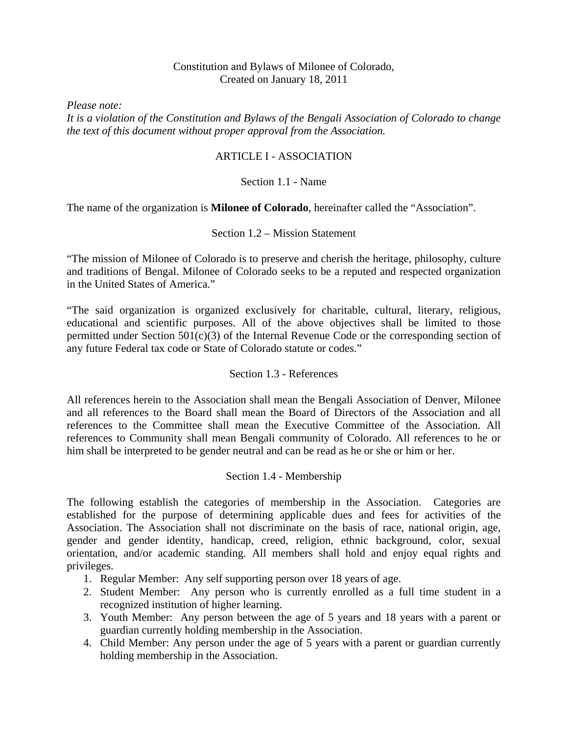## Constitution and Bylaws of Milonee of Colorado, Created on January 18, 2011

*Please note:* 

*It is a violation of the Constitution and Bylaws of the Bengali Association of Colorado to change the text of this document without proper approval from the Association.* 

# ARTICLE I - ASSOCIATION

## Section 1.1 - Name

The name of the organization is **Milonee of Colorado**, hereinafter called the "Association".

#### Section 1.2 – Mission Statement

"The mission of Milonee of Colorado is to preserve and cherish the heritage, philosophy, culture and traditions of Bengal. Milonee of Colorado seeks to be a reputed and respected organization in the United States of America."

"The said organization is organized exclusively for charitable, cultural, literary, religious, educational and scientific purposes. All of the above objectives shall be limited to those permitted under Section 501(c)(3) of the Internal Revenue Code or the corresponding section of any future Federal tax code or State of Colorado statute or codes."

# Section 1.3 - References

All references herein to the Association shall mean the Bengali Association of Denver, Milonee and all references to the Board shall mean the Board of Directors of the Association and all references to the Committee shall mean the Executive Committee of the Association. All references to Community shall mean Bengali community of Colorado. All references to he or him shall be interpreted to be gender neutral and can be read as he or she or him or her.

#### Section 1.4 - Membership

The following establish the categories of membership in the Association. Categories are established for the purpose of determining applicable dues and fees for activities of the Association. The Association shall not discriminate on the basis of race, national origin, age, gender and gender identity, handicap, creed, religion, ethnic background, color, sexual orientation, and/or academic standing. All members shall hold and enjoy equal rights and privileges.

- 1. Regular Member: Any self supporting person over 18 years of age.
- 2. Student Member: Any person who is currently enrolled as a full time student in a recognized institution of higher learning.
- 3. Youth Member: Any person between the age of 5 years and 18 years with a parent or guardian currently holding membership in the Association.
- 4. Child Member: Any person under the age of 5 years with a parent or guardian currently holding membership in the Association.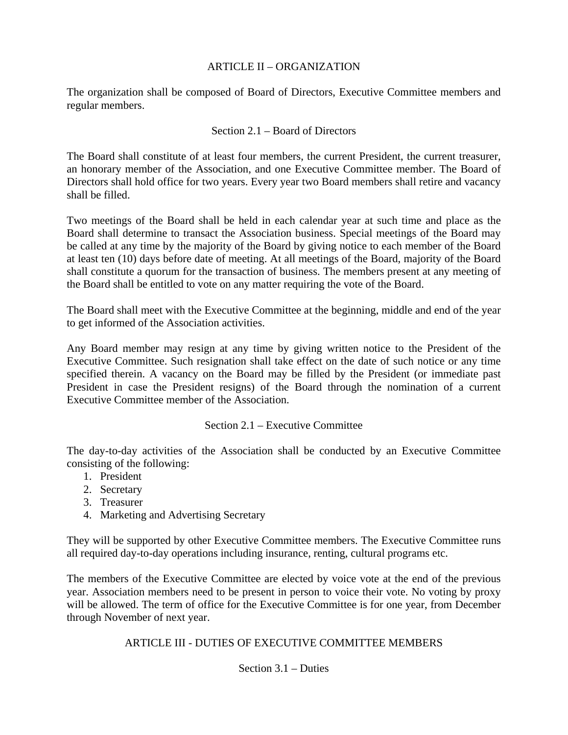# ARTICLE II – ORGANIZATION

The organization shall be composed of Board of Directors, Executive Committee members and regular members.

# Section 2.1 – Board of Directors

The Board shall constitute of at least four members, the current President, the current treasurer, an honorary member of the Association, and one Executive Committee member. The Board of Directors shall hold office for two years. Every year two Board members shall retire and vacancy shall be filled.

Two meetings of the Board shall be held in each calendar year at such time and place as the Board shall determine to transact the Association business. Special meetings of the Board may be called at any time by the majority of the Board by giving notice to each member of the Board at least ten (10) days before date of meeting. At all meetings of the Board, majority of the Board shall constitute a quorum for the transaction of business. The members present at any meeting of the Board shall be entitled to vote on any matter requiring the vote of the Board.

The Board shall meet with the Executive Committee at the beginning, middle and end of the year to get informed of the Association activities.

Any Board member may resign at any time by giving written notice to the President of the Executive Committee. Such resignation shall take effect on the date of such notice or any time specified therein. A vacancy on the Board may be filled by the President (or immediate past President in case the President resigns) of the Board through the nomination of a current Executive Committee member of the Association.

#### Section 2.1 – Executive Committee

The day-to-day activities of the Association shall be conducted by an Executive Committee consisting of the following:

- 1. President
- 2. Secretary
- 3. Treasurer
- 4. Marketing and Advertising Secretary

They will be supported by other Executive Committee members. The Executive Committee runs all required day-to-day operations including insurance, renting, cultural programs etc.

The members of the Executive Committee are elected by voice vote at the end of the previous year. Association members need to be present in person to voice their vote. No voting by proxy will be allowed. The term of office for the Executive Committee is for one year, from December through November of next year.

## ARTICLE III - DUTIES OF EXECUTIVE COMMITTEE MEMBERS

## Section 3.1 – Duties